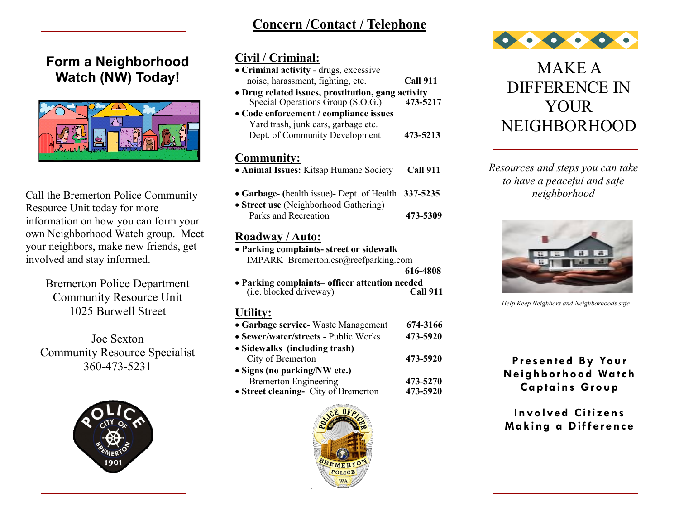# **Concern /Contact / Telephone**

# **Form a Neighborhood Watch (NW) Today!**



Call the Bremerton Police Community Resource Unit today for more information on how you can form your own Neighborhood Watch group. Meet your neighbors, make new friends, get involved and stay informed.

> Bremerton Police Department Community Resource Unit 1025 Burwell Street

Joe Sexton Community Resource Specialist 360-473-5231



## **Civil / Criminal:**

| • Criminal activity - drugs, excessive             |                 |  |
|----------------------------------------------------|-----------------|--|
| noise, harassment, fighting, etc.                  | <b>Call 911</b> |  |
| • Drug related issues, prostitution, gang activity |                 |  |
| Special Operations Group (S.O.G.)                  | 473-5217        |  |
| • Code enforcement / compliance issues             |                 |  |
| Yard trash, junk cars, garbage etc.                |                 |  |
| Dept. of Community Development                     | 473-5213        |  |
|                                                    |                 |  |
| Community:                                         |                 |  |
| • Animal Issues: Kitsap Humane Society             | Call 911        |  |
|                                                    |                 |  |
| • Garbage- (health issue)- Dept. of Health         | 337-5235        |  |
| • Street use (Neighborhood Gathering)              |                 |  |
| Parks and Recreation                               | 473-5309        |  |
|                                                    |                 |  |
| Roadway / Auto:                                    |                 |  |
| • Parking complaints- street or sidewalk           |                 |  |
| IMPARK Bremerton.csr@reefparking.com               |                 |  |
|                                                    | 616-4808        |  |
| • Parking complaints– officer attention needed     |                 |  |
| (i.e. blocked driveway)                            | Call 911        |  |
|                                                    |                 |  |

#### **Utility:**

| • Garbage service Waste Management   | 674-3166 |
|--------------------------------------|----------|
| • Sewer/water/streets - Public Works | 473-5920 |
| • Sidewalks (including trash)        |          |
| City of Bremerton                    | 473-5920 |
| • Signs (no parking/NW etc.)         |          |
| <b>Bremerton Engineering</b>         | 473-5270 |
| • Street cleaning- City of Bremerton | 473-5920 |





MAKE A DIFFERENCE IN **YOUR** NEIGHBORHOOD

*Resources and steps you can take to have a peaceful and safe neighborhood*



*Help Keep Neighbors and Neighborhoods safe*

### **Pr esented By Your Neighborhood Wa tch Captains Group**

### **Involved Citizens Making a Difference**